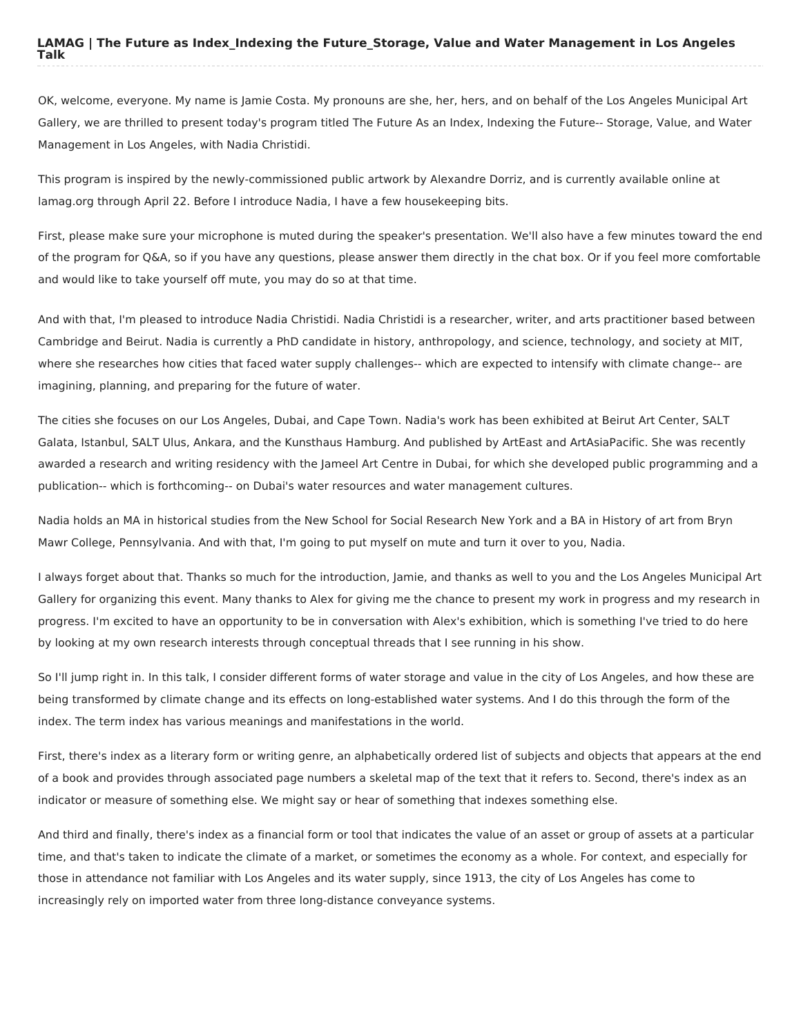OK, welcome, everyone. My name is Jamie Costa. My pronouns are she, her, hers, and on behalf of the Los Angeles Municipal Art Gallery, we are thrilled to present today's program titled The Future As an Index, Indexing the Future-- Storage, Value, and Water Management in Los Angeles, with Nadia Christidi.

This program is inspired by the newly-commissioned public artwork by Alexandre Dorriz, and is currently available online at lamag.org through April 22. Before I introduce Nadia, I have a few housekeeping bits.

First, please make sure your microphone is muted during the speaker's presentation. We'll also have a few minutes toward the end of the program for Q&A, so if you have any questions, please answer them directly in the chat box. Or if you feel more comfortable and would like to take yourself off mute, you may do so at that time.

And with that, I'm pleased to introduce Nadia Christidi. Nadia Christidi is a researcher, writer, and arts practitioner based between Cambridge and Beirut. Nadia is currently a PhD candidate in history, anthropology, and science, technology, and society at MIT, where she researches how cities that faced water supply challenges-- which are expected to intensify with climate change-- are imagining, planning, and preparing for the future of water.

The cities she focuses on our Los Angeles, Dubai, and Cape Town. Nadia's work has been exhibited at Beirut Art Center, SALT Galata, Istanbul, SALT Ulus, Ankara, and the Kunsthaus Hamburg. And published by ArtEast and ArtAsiaPacific. She was recently awarded a research and writing residency with the Jameel Art Centre in Dubai, for which she developed public programming and a publication-- which is forthcoming-- on Dubai's water resources and water management cultures.

Nadia holds an MA in historical studies from the New School for Social Research New York and a BA in History of art from Bryn Mawr College, Pennsylvania. And with that, I'm going to put myself on mute and turn it over to you, Nadia.

I always forget about that. Thanks so much for the introduction, Jamie, and thanks as well to you and the Los Angeles Municipal Art Gallery for organizing this event. Many thanks to Alex for giving me the chance to present my work in progress and my research in progress. I'm excited to have an opportunity to be in conversation with Alex's exhibition, which is something I've tried to do here by looking at my own research interests through conceptual threads that I see running in his show.

So I'll jump right in. In this talk, I consider different forms of water storage and value in the city of Los Angeles, and how these are being transformed by climate change and its effects on long-established water systems. And I do this through the form of the index. The term index has various meanings and manifestations in the world.

First, there's index as a literary form or writing genre, an alphabetically ordered list of subjects and objects that appears at the end of a book and provides through associated page numbers a skeletal map of the text that it refers to. Second, there's index as an indicator or measure of something else. We might say or hear of something that indexes something else.

And third and finally, there's index as a financial form or tool that indicates the value of an asset or group of assets at a particular time, and that's taken to indicate the climate of a market, or sometimes the economy as a whole. For context, and especially for those in attendance not familiar with Los Angeles and its water supply, since 1913, the city of Los Angeles has come to increasingly rely on imported water from three long-distance conveyance systems.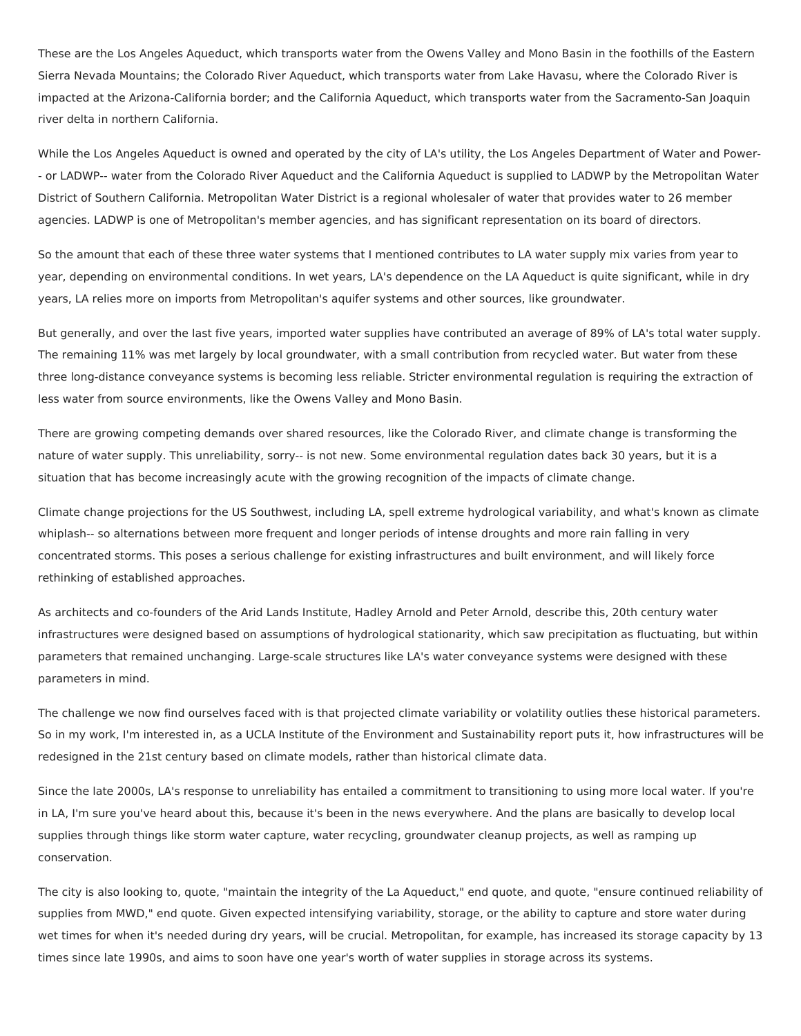These are the Los Angeles Aqueduct, which transports water from the Owens Valley and Mono Basin in the foothills of the Eastern Sierra Nevada Mountains; the Colorado River Aqueduct, which transports water from Lake Havasu, where the Colorado River is impacted at the Arizona-California border; and the California Aqueduct, which transports water from the Sacramento-San Joaquin river delta in northern California.

While the Los Angeles Aqueduct is owned and operated by the city of LA's utility, the Los Angeles Department of Water and Power- - or LADWP-- water from the Colorado River Aqueduct and the California Aqueduct is supplied to LADWP by the Metropolitan Water District of Southern California. Metropolitan Water District is a regional wholesaler of water that provides water to 26 member agencies. LADWP is one of Metropolitan's member agencies, and has significant representation on its board of directors.

So the amount that each of these three water systems that I mentioned contributes to LA water supply mix varies from year to year, depending on environmental conditions. In wet years, LA's dependence on the LA Aqueduct is quite significant, while in dry years, LA relies more on imports from Metropolitan's aquifer systems and other sources, like groundwater.

But generally, and over the last five years, imported water supplies have contributed an average of 89% of LA's total water supply. The remaining 11% was met largely by local groundwater, with a small contribution from recycled water. But water from these three long-distance conveyance systems is becoming less reliable. Stricter environmental regulation is requiring the extraction of less water from source environments, like the Owens Valley and Mono Basin.

There are growing competing demands over shared resources, like the Colorado River, and climate change is transforming the nature of water supply. This unreliability, sorry-- is not new. Some environmental regulation dates back 30 years, but it is a situation that has become increasingly acute with the growing recognition of the impacts of climate change.

Climate change projections for the US Southwest, including LA, spell extreme hydrological variability, and what's known as climate whiplash-- so alternations between more frequent and longer periods of intense droughts and more rain falling in very concentrated storms. This poses a serious challenge for existing infrastructures and built environment, and will likely force rethinking of established approaches.

As architects and co-founders of the Arid Lands Institute, Hadley Arnold and Peter Arnold, describe this, 20th century water infrastructures were designed based on assumptions of hydrological stationarity, which saw precipitation as fluctuating, but within parameters that remained unchanging. Large-scale structures like LA's water conveyance systems were designed with these parameters in mind.

The challenge we now find ourselves faced with is that projected climate variability or volatility outlies these historical parameters. So in my work, I'm interested in, as a UCLA Institute of the Environment and Sustainability report puts it, how infrastructures will be redesigned in the 21st century based on climate models, rather than historical climate data.

Since the late 2000s, LA's response to unreliability has entailed a commitment to transitioning to using more local water. If you're in LA, I'm sure you've heard about this, because it's been in the news everywhere. And the plans are basically to develop local supplies through things like storm water capture, water recycling, groundwater cleanup projects, as well as ramping up conservation.

The city is also looking to, quote, "maintain the integrity of the La Aqueduct," end quote, and quote, "ensure continued reliability of supplies from MWD," end quote. Given expected intensifying variability, storage, or the ability to capture and store water during wet times for when it's needed during dry years, will be crucial. Metropolitan, for example, has increased its storage capacity by 13 times since late 1990s, and aims to soon have one year's worth of water supplies in storage across its systems.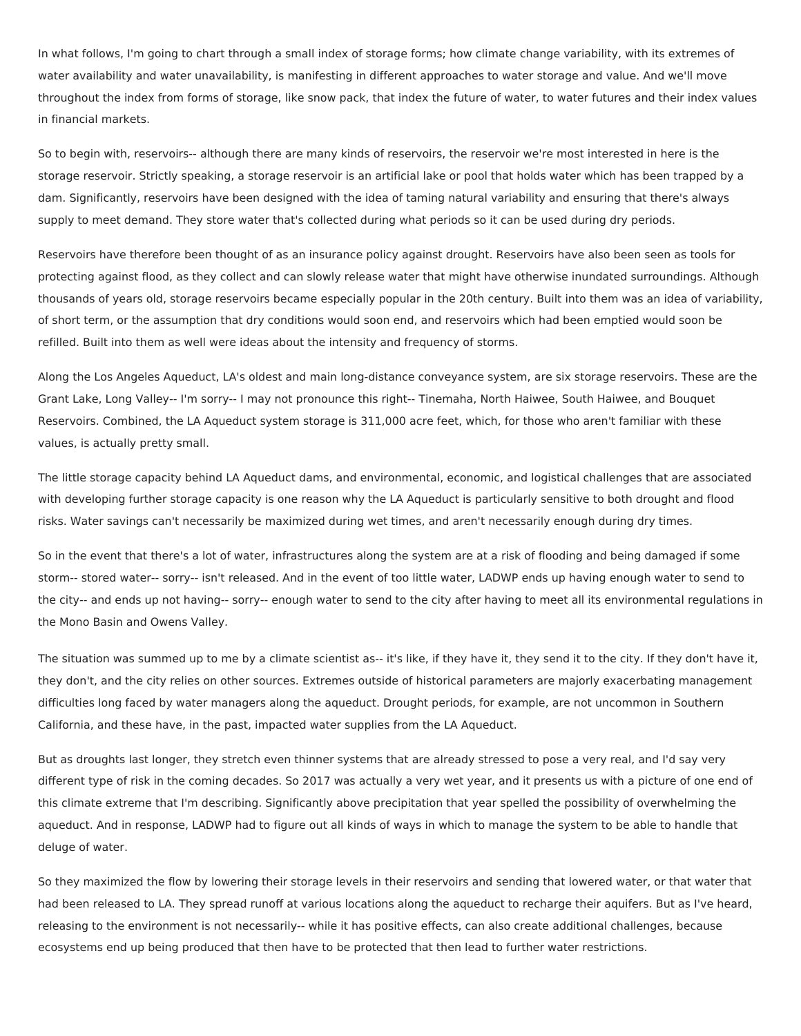In what follows, I'm going to chart through a small index of storage forms; how climate change variability, with its extremes of water availability and water unavailability, is manifesting in different approaches to water storage and value. And we'll move throughout the index from forms of storage, like snow pack, that index the future of water, to water futures and their index values in financial markets.

So to begin with, reservoirs-- although there are many kinds of reservoirs, the reservoir we're most interested in here is the storage reservoir. Strictly speaking, a storage reservoir is an artificial lake or pool that holds water which has been trapped by a dam. Significantly, reservoirs have been designed with the idea of taming natural variability and ensuring that there's always supply to meet demand. They store water that's collected during what periods so it can be used during dry periods.

Reservoirs have therefore been thought of as an insurance policy against drought. Reservoirs have also been seen as tools for protecting against flood, as they collect and can slowly release water that might have otherwise inundated surroundings. Although thousands of years old, storage reservoirs became especially popular in the 20th century. Built into them was an idea of variability, of short term, or the assumption that dry conditions would soon end, and reservoirs which had been emptied would soon be refilled. Built into them as well were ideas about the intensity and frequency of storms.

Along the Los Angeles Aqueduct, LA's oldest and main long-distance conveyance system, are six storage reservoirs. These are the Grant Lake, Long Valley-- I'm sorry-- I may not pronounce this right-- Tinemaha, North Haiwee, South Haiwee, and Bouquet Reservoirs. Combined, the LA Aqueduct system storage is 311,000 acre feet, which, for those who aren't familiar with these values, is actually pretty small.

The little storage capacity behind LA Aqueduct dams, and environmental, economic, and logistical challenges that are associated with developing further storage capacity is one reason why the LA Aqueduct is particularly sensitive to both drought and flood risks. Water savings can't necessarily be maximized during wet times, and aren't necessarily enough during dry times.

So in the event that there's a lot of water, infrastructures along the system are at a risk of flooding and being damaged if some storm-- stored water-- sorry-- isn't released. And in the event of too little water, LADWP ends up having enough water to send to the city-- and ends up not having-- sorry-- enough water to send to the city after having to meet all its environmental regulations in the Mono Basin and Owens Valley.

The situation was summed up to me by a climate scientist as-- it's like, if they have it, they send it to the city. If they don't have it, they don't, and the city relies on other sources. Extremes outside of historical parameters are majorly exacerbating management difficulties long faced by water managers along the aqueduct. Drought periods, for example, are not uncommon in Southern California, and these have, in the past, impacted water supplies from the LA Aqueduct.

But as droughts last longer, they stretch even thinner systems that are already stressed to pose a very real, and I'd say very different type of risk in the coming decades. So 2017 was actually a very wet year, and it presents us with a picture of one end of this climate extreme that I'm describing. Significantly above precipitation that year spelled the possibility of overwhelming the aqueduct. And in response, LADWP had to figure out all kinds of ways in which to manage the system to be able to handle that deluge of water.

So they maximized the flow by lowering their storage levels in their reservoirs and sending that lowered water, or that water that had been released to LA. They spread runoff at various locations along the aqueduct to recharge their aquifers. But as I've heard, releasing to the environment is not necessarily-- while it has positive effects, can also create additional challenges, because ecosystems end up being produced that then have to be protected that then lead to further water restrictions.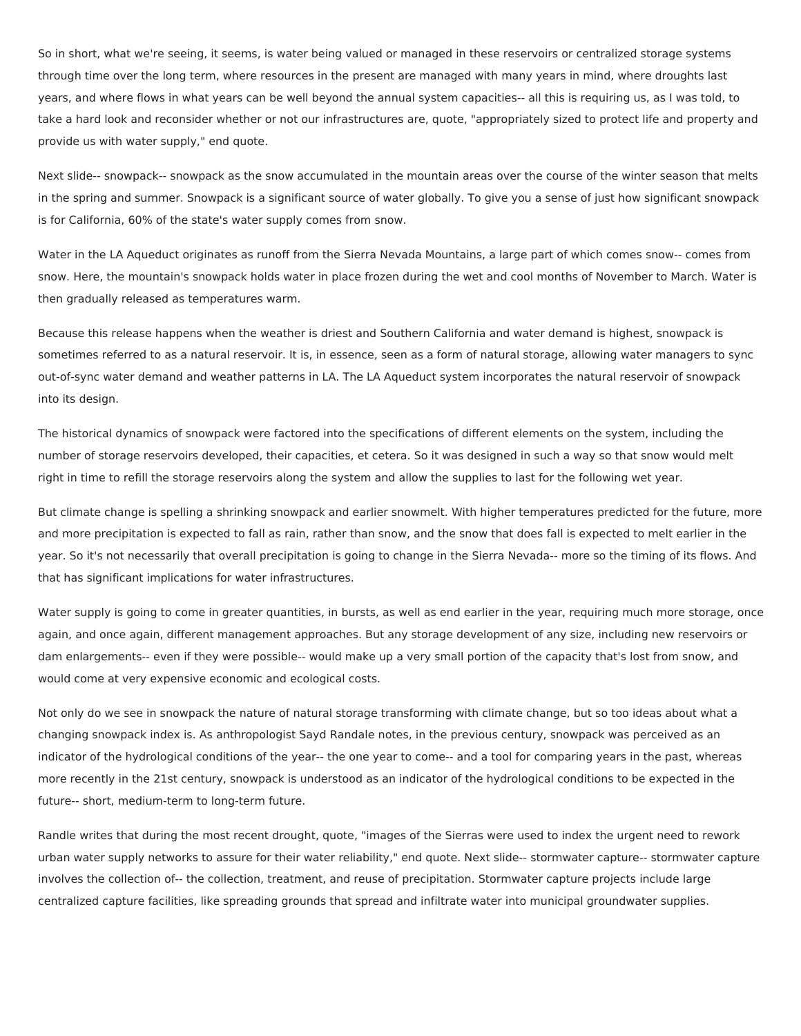So in short, what we're seeing, it seems, is water being valued or managed in these reservoirs or centralized storage systems through time over the long term, where resources in the present are managed with many years in mind, where droughts last years, and where flows in what years can be well beyond the annual system capacities-- all this is requiring us, as I was told, to take a hard look and reconsider whether or not our infrastructures are, quote, "appropriately sized to protect life and property and provide us with water supply," end quote.

Next slide-- snowpack-- snowpack as the snow accumulated in the mountain areas over the course of the winter season that melts in the spring and summer. Snowpack is a significant source of water globally. To give you a sense of just how significant snowpack is for California, 60% of the state's water supply comes from snow.

Water in the LA Aqueduct originates as runoff from the Sierra Nevada Mountains, a large part of which comes snow-- comes from snow. Here, the mountain's snowpack holds water in place frozen during the wet and cool months of November to March. Water is then gradually released as temperatures warm.

Because this release happens when the weather is driest and Southern California and water demand is highest, snowpack is sometimes referred to as a natural reservoir. It is, in essence, seen as a form of natural storage, allowing water managers to sync out-of-sync water demand and weather patterns in LA. The LA Aqueduct system incorporates the natural reservoir of snowpack into its design.

The historical dynamics of snowpack were factored into the specifications of different elements on the system, including the number of storage reservoirs developed, their capacities, et cetera. So it was designed in such a way so that snow would melt right in time to refill the storage reservoirs along the system and allow the supplies to last for the following wet year.

But climate change is spelling a shrinking snowpack and earlier snowmelt. With higher temperatures predicted for the future, more and more precipitation is expected to fall as rain, rather than snow, and the snow that does fall is expected to melt earlier in the year. So it's not necessarily that overall precipitation is going to change in the Sierra Nevada-- more so the timing of its flows. And that has significant implications for water infrastructures.

Water supply is going to come in greater quantities, in bursts, as well as end earlier in the year, requiring much more storage, once again, and once again, different management approaches. But any storage development of any size, including new reservoirs or dam enlargements-- even if they were possible-- would make up a very small portion of the capacity that's lost from snow, and would come at very expensive economic and ecological costs.

Not only do we see in snowpack the nature of natural storage transforming with climate change, but so too ideas about what a changing snowpack index is. As anthropologist Sayd Randale notes, in the previous century, snowpack was perceived as an indicator of the hydrological conditions of the year-- the one year to come-- and a tool for comparing years in the past, whereas more recently in the 21st century, snowpack is understood as an indicator of the hydrological conditions to be expected in the future-- short, medium-term to long-term future.

Randle writes that during the most recent drought, quote, "images of the Sierras were used to index the urgent need to rework urban water supply networks to assure for their water reliability," end quote. Next slide-- stormwater capture-- stormwater capture involves the collection of-- the collection, treatment, and reuse of precipitation. Stormwater capture projects include large centralized capture facilities, like spreading grounds that spread and infiltrate water into municipal groundwater supplies.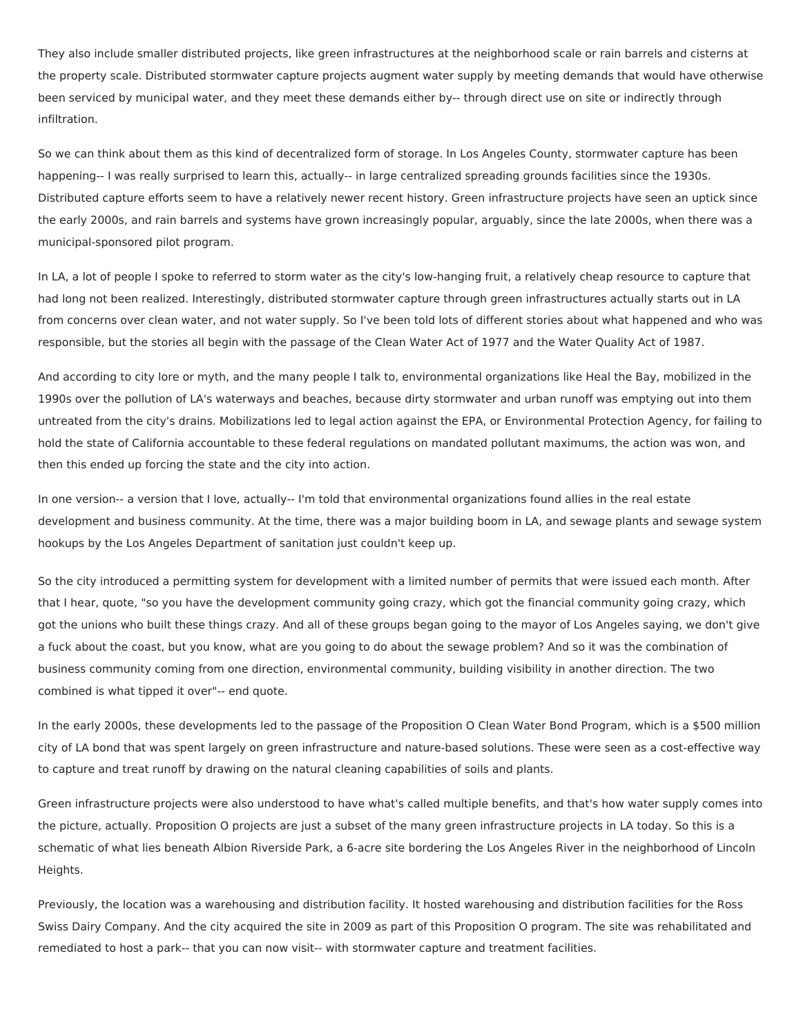They also include smaller distributed projects, like green infrastructures at the neighborhood scale or rain barrels and cisterns at the property scale. Distributed stormwater capture projects augment water supply by meeting demands that would have otherwise been serviced by municipal water, and they meet these demands either by-- through direct use on site or indirectly through infiltration.

So we can think about them as this kind of decentralized form of storage. In Los Angeles County, stormwater capture has been happening-- I was really surprised to learn this, actually-- in large centralized spreading grounds facilities since the 1930s. Distributed capture efforts seem to have a relatively newer recent history. Green infrastructure projects have seen an uptick since the early 2000s, and rain barrels and systems have grown increasingly popular, arguably, since the late 2000s, when there was a municipal-sponsored pilot program.

In LA, a lot of people I spoke to referred to storm water as the city's low-hanging fruit, a relatively cheap resource to capture that had long not been realized. Interestingly, distributed stormwater capture through green infrastructures actually starts out in LA from concerns over clean water, and not water supply. So I've been told lots of different stories about what happened and who was responsible, but the stories all begin with the passage of the Clean Water Act of 1977 and the Water Quality Act of 1987.

And according to city lore or myth, and the many people I talk to, environmental organizations like Heal the Bay, mobilized in the 1990s over the pollution of LA's waterways and beaches, because dirty stormwater and urban runoff was emptying out into them untreated from the city's drains. Mobilizations led to legal action against the EPA, or Environmental Protection Agency, for failing to hold the state of California accountable to these federal regulations on mandated pollutant maximums, the action was won, and then this ended up forcing the state and the city into action.

In one version-- a version that I love, actually-- I'm told that environmental organizations found allies in the real estate development and business community. At the time, there was a major building boom in LA, and sewage plants and sewage system hookups by the Los Angeles Department of sanitation just couldn't keep up.

So the city introduced a permitting system for development with a limited number of permits that were issued each month. After that I hear, quote, "so you have the development community going crazy, which got the financial community going crazy, which got the unions who built these things crazy. And all of these groups began going to the mayor of Los Angeles saying, we don't give a fuck about the coast, but you know, what are you going to do about the sewage problem? And so it was the combination of business community coming from one direction, environmental community, building visibility in another direction. The two combined is what tipped it over"-- end quote.

In the early 2000s, these developments led to the passage of the Proposition O Clean Water Bond Program, which is a \$500 million city of LA bond that was spent largely on green infrastructure and nature-based solutions. These were seen as a cost-effective way to capture and treat runoff by drawing on the natural cleaning capabilities of soils and plants.

Green infrastructure projects were also understood to have what's called multiple benefits, and that's how water supply comes into the picture, actually. Proposition O projects are just a subset of the many green infrastructure projects in LA today. So this is a schematic of what lies beneath Albion Riverside Park, a 6-acre site bordering the Los Angeles River in the neighborhood of Lincoln Heights.

Previously, the location was a warehousing and distribution facility. It hosted warehousing and distribution facilities for the Ross Swiss Dairy Company. And the city acquired the site in 2009 as part of this Proposition O program. The site was rehabilitated and remediated to host a park-- that you can now visit-- with stormwater capture and treatment facilities.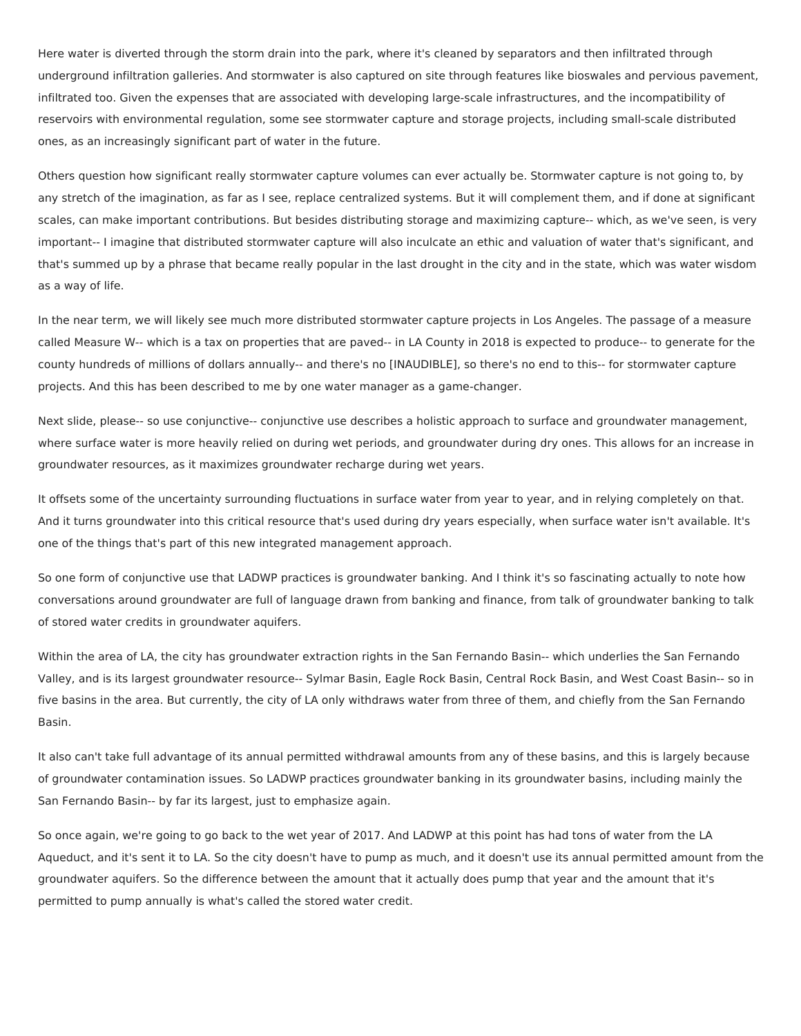Here water is diverted through the storm drain into the park, where it's cleaned by separators and then infiltrated through underground infiltration galleries. And stormwater is also captured on site through features like bioswales and pervious pavement, infiltrated too. Given the expenses that are associated with developing large-scale infrastructures, and the incompatibility of reservoirs with environmental regulation, some see stormwater capture and storage projects, including small-scale distributed ones, as an increasingly significant part of water in the future.

Others question how significant really stormwater capture volumes can ever actually be. Stormwater capture is not going to, by any stretch of the imagination, as far as I see, replace centralized systems. But it will complement them, and if done at significant scales, can make important contributions. But besides distributing storage and maximizing capture-- which, as we've seen, is very important-- I imagine that distributed stormwater capture will also inculcate an ethic and valuation of water that's significant, and that's summed up by a phrase that became really popular in the last drought in the city and in the state, which was water wisdom as a way of life.

In the near term, we will likely see much more distributed stormwater capture projects in Los Angeles. The passage of a measure called Measure W-- which is a tax on properties that are paved-- in LA County in 2018 is expected to produce-- to generate for the county hundreds of millions of dollars annually-- and there's no [INAUDIBLE], so there's no end to this-- for stormwater capture projects. And this has been described to me by one water manager as a game-changer.

Next slide, please-- so use conjunctive-- conjunctive use describes a holistic approach to surface and groundwater management, where surface water is more heavily relied on during wet periods, and groundwater during dry ones. This allows for an increase in groundwater resources, as it maximizes groundwater recharge during wet years.

It offsets some of the uncertainty surrounding fluctuations in surface water from year to year, and in relying completely on that. And it turns groundwater into this critical resource that's used during dry years especially, when surface water isn't available. It's one of the things that's part of this new integrated management approach.

So one form of conjunctive use that LADWP practices is groundwater banking. And I think it's so fascinating actually to note how conversations around groundwater are full of language drawn from banking and finance, from talk of groundwater banking to talk of stored water credits in groundwater aquifers.

Within the area of LA, the city has groundwater extraction rights in the San Fernando Basin-- which underlies the San Fernando Valley, and is its largest groundwater resource-- Sylmar Basin, Eagle Rock Basin, Central Rock Basin, and West Coast Basin-- so in five basins in the area. But currently, the city of LA only withdraws water from three of them, and chiefly from the San Fernando Basin.

It also can't take full advantage of its annual permitted withdrawal amounts from any of these basins, and this is largely because of groundwater contamination issues. So LADWP practices groundwater banking in its groundwater basins, including mainly the San Fernando Basin-- by far its largest, just to emphasize again.

So once again, we're going to go back to the wet year of 2017. And LADWP at this point has had tons of water from the LA Aqueduct, and it's sent it to LA. So the city doesn't have to pump as much, and it doesn't use its annual permitted amount from the groundwater aquifers. So the difference between the amount that it actually does pump that year and the amount that it's permitted to pump annually is what's called the stored water credit.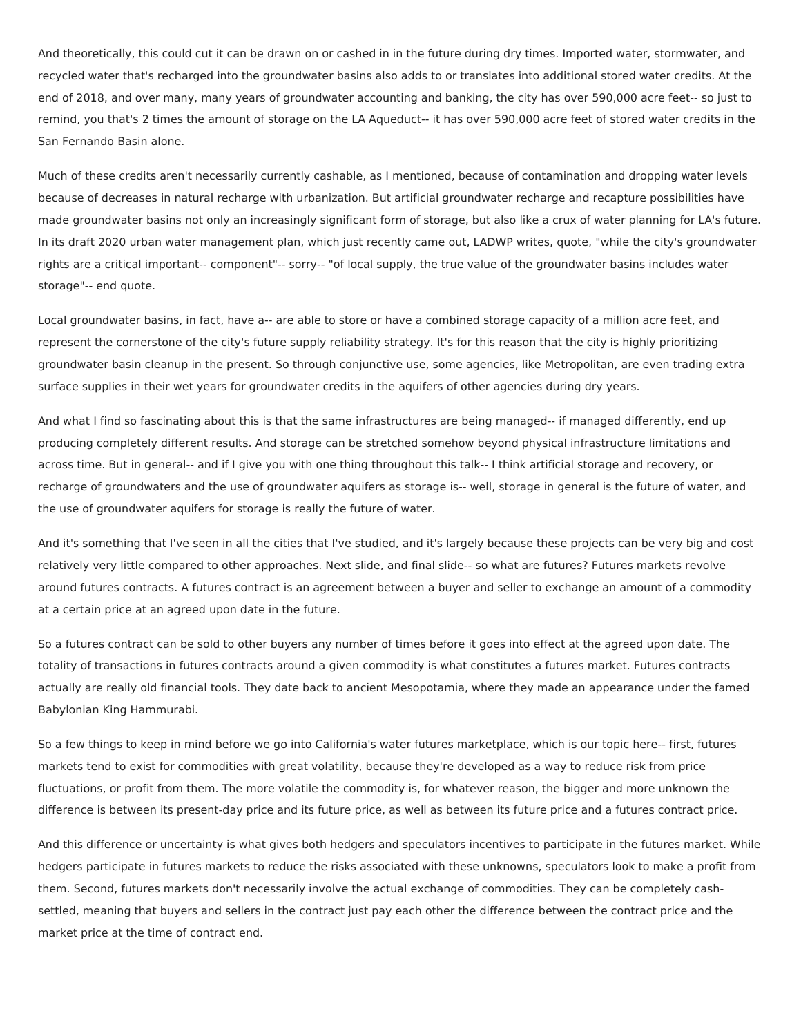And theoretically, this could cut it can be drawn on or cashed in in the future during dry times. Imported water, stormwater, and recycled water that's recharged into the groundwater basins also adds to or translates into additional stored water credits. At the end of 2018, and over many, many years of groundwater accounting and banking, the city has over 590,000 acre feet-- so just to remind, you that's 2 times the amount of storage on the LA Aqueduct-- it has over 590,000 acre feet of stored water credits in the San Fernando Basin alone.

Much of these credits aren't necessarily currently cashable, as I mentioned, because of contamination and dropping water levels because of decreases in natural recharge with urbanization. But artificial groundwater recharge and recapture possibilities have made groundwater basins not only an increasingly significant form of storage, but also like a crux of water planning for LA's future. In its draft 2020 urban water management plan, which just recently came out, LADWP writes, quote, "while the city's groundwater rights are a critical important-- component"-- sorry-- "of local supply, the true value of the groundwater basins includes water storage"-- end quote.

Local groundwater basins, in fact, have a-- are able to store or have a combined storage capacity of a million acre feet, and represent the cornerstone of the city's future supply reliability strategy. It's for this reason that the city is highly prioritizing groundwater basin cleanup in the present. So through conjunctive use, some agencies, like Metropolitan, are even trading extra surface supplies in their wet years for groundwater credits in the aquifers of other agencies during dry years.

And what I find so fascinating about this is that the same infrastructures are being managed-- if managed differently, end up producing completely different results. And storage can be stretched somehow beyond physical infrastructure limitations and across time. But in general-- and if I give you with one thing throughout this talk-- I think artificial storage and recovery, or recharge of groundwaters and the use of groundwater aquifers as storage is-- well, storage in general is the future of water, and the use of groundwater aquifers for storage is really the future of water.

And it's something that I've seen in all the cities that I've studied, and it's largely because these projects can be very big and cost relatively very little compared to other approaches. Next slide, and final slide-- so what are futures? Futures markets revolve around futures contracts. A futures contract is an agreement between a buyer and seller to exchange an amount of a commodity at a certain price at an agreed upon date in the future.

So a futures contract can be sold to other buyers any number of times before it goes into effect at the agreed upon date. The totality of transactions in futures contracts around a given commodity is what constitutes a futures market. Futures contracts actually are really old financial tools. They date back to ancient Mesopotamia, where they made an appearance under the famed Babylonian King Hammurabi.

So a few things to keep in mind before we go into California's water futures marketplace, which is our topic here-- first, futures markets tend to exist for commodities with great volatility, because they're developed as a way to reduce risk from price fluctuations, or profit from them. The more volatile the commodity is, for whatever reason, the bigger and more unknown the difference is between its present-day price and its future price, as well as between its future price and a futures contract price.

And this difference or uncertainty is what gives both hedgers and speculators incentives to participate in the futures market. While hedgers participate in futures markets to reduce the risks associated with these unknowns, speculators look to make a profit from them. Second, futures markets don't necessarily involve the actual exchange of commodities. They can be completely cashsettled, meaning that buyers and sellers in the contract just pay each other the difference between the contract price and the market price at the time of contract end.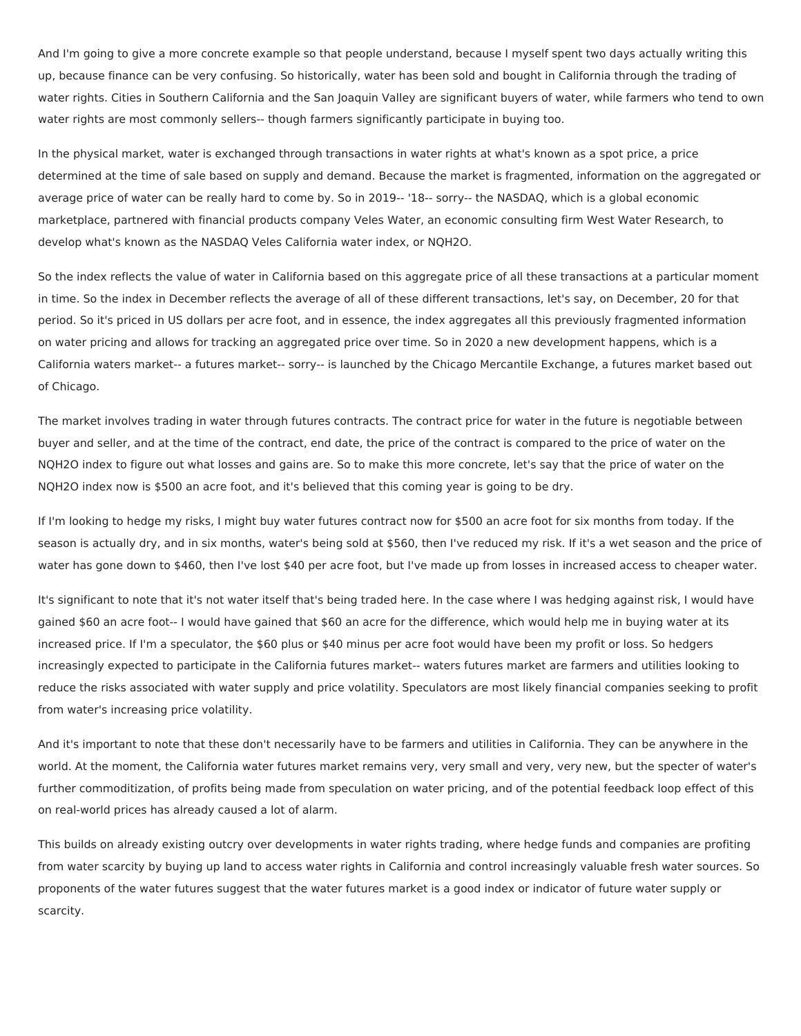And I'm going to give a more concrete example so that people understand, because I myself spent two days actually writing this up, because finance can be very confusing. So historically, water has been sold and bought in California through the trading of water rights. Cities in Southern California and the San Joaquin Valley are significant buyers of water, while farmers who tend to own water rights are most commonly sellers-- though farmers significantly participate in buying too.

In the physical market, water is exchanged through transactions in water rights at what's known as a spot price, a price determined at the time of sale based on supply and demand. Because the market is fragmented, information on the aggregated or average price of water can be really hard to come by. So in 2019-- '18-- sorry-- the NASDAQ, which is a global economic marketplace, partnered with financial products company Veles Water, an economic consulting firm West Water Research, to develop what's known as the NASDAQ Veles California water index, or NQH2O.

So the index reflects the value of water in California based on this aggregate price of all these transactions at a particular moment in time. So the index in December reflects the average of all of these different transactions, let's say, on December, 20 for that period. So it's priced in US dollars per acre foot, and in essence, the index aggregates all this previously fragmented information on water pricing and allows for tracking an aggregated price over time. So in 2020 a new development happens, which is a California waters market-- a futures market-- sorry-- is launched by the Chicago Mercantile Exchange, a futures market based out of Chicago.

The market involves trading in water through futures contracts. The contract price for water in the future is negotiable between buyer and seller, and at the time of the contract, end date, the price of the contract is compared to the price of water on the NQH2O index to figure out what losses and gains are. So to make this more concrete, let's say that the price of water on the NQH2O index now is \$500 an acre foot, and it's believed that this coming year is going to be dry.

If I'm looking to hedge my risks, I might buy water futures contract now for \$500 an acre foot for six months from today. If the season is actually dry, and in six months, water's being sold at \$560, then I've reduced my risk. If it's a wet season and the price of water has gone down to \$460, then I've lost \$40 per acre foot, but I've made up from losses in increased access to cheaper water.

It's significant to note that it's not water itself that's being traded here. In the case where I was hedging against risk, I would have gained \$60 an acre foot-- I would have gained that \$60 an acre for the difference, which would help me in buying water at its increased price. If I'm a speculator, the \$60 plus or \$40 minus per acre foot would have been my profit or loss. So hedgers increasingly expected to participate in the California futures market-- waters futures market are farmers and utilities looking to reduce the risks associated with water supply and price volatility. Speculators are most likely financial companies seeking to profit from water's increasing price volatility.

And it's important to note that these don't necessarily have to be farmers and utilities in California. They can be anywhere in the world. At the moment, the California water futures market remains very, very small and very, very new, but the specter of water's further commoditization, of profits being made from speculation on water pricing, and of the potential feedback loop effect of this on real-world prices has already caused a lot of alarm.

This builds on already existing outcry over developments in water rights trading, where hedge funds and companies are profiting from water scarcity by buying up land to access water rights in California and control increasingly valuable fresh water sources. So proponents of the water futures suggest that the water futures market is a good index or indicator of future water supply or scarcity.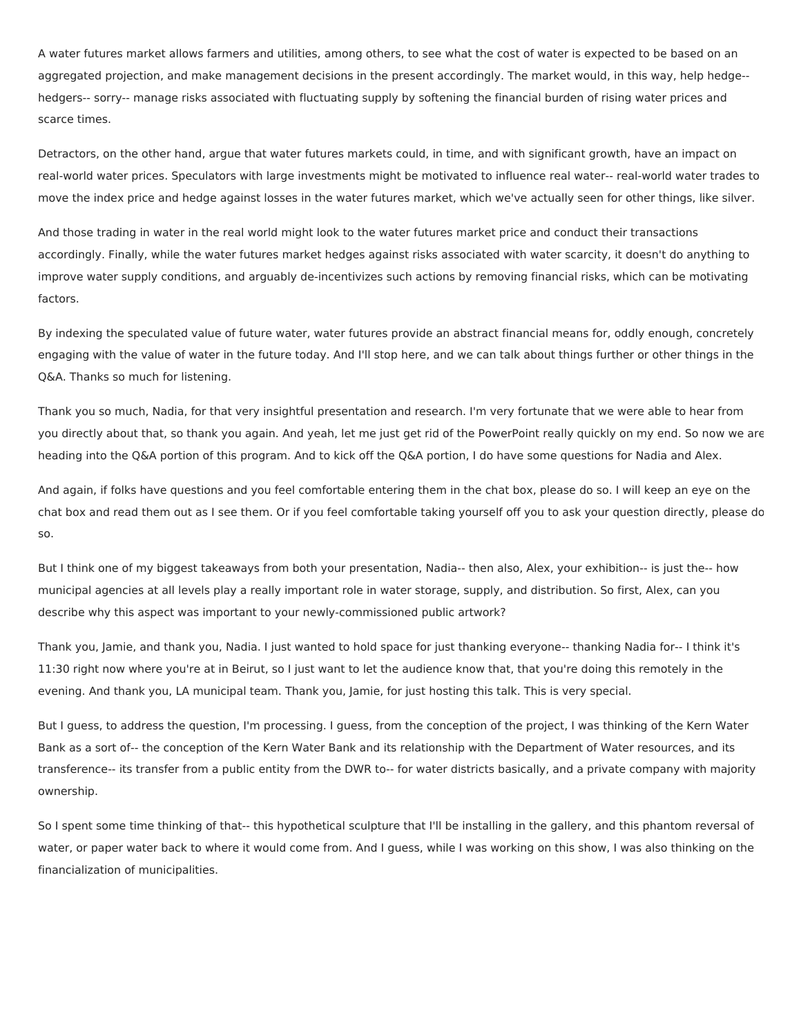A water futures market allows farmers and utilities, among others, to see what the cost of water is expected to be based on an aggregated projection, and make management decisions in the present accordingly. The market would, in this way, help hedge- hedgers-- sorry-- manage risks associated with fluctuating supply by softening the financial burden of rising water prices and scarce times.

Detractors, on the other hand, argue that water futures markets could, in time, and with significant growth, have an impact on real-world water prices. Speculators with large investments might be motivated to influence real water-- real-world water trades to move the index price and hedge against losses in the water futures market, which we've actually seen for other things, like silver.

And those trading in water in the real world might look to the water futures market price and conduct their transactions accordingly. Finally, while the water futures market hedges against risks associated with water scarcity, it doesn't do anything to improve water supply conditions, and arguably de-incentivizes such actions by removing financial risks, which can be motivating factors.

By indexing the speculated value of future water, water futures provide an abstract financial means for, oddly enough, concretely engaging with the value of water in the future today. And I'll stop here, and we can talk about things further or other things in the Q&A. Thanks so much for listening.

Thank you so much, Nadia, for that very insightful presentation and research. I'm very fortunate that we were able to hear from you directly about that, so thank you again. And yeah, let me just get rid of the PowerPoint really quickly on my end. So now we are heading into the Q&A portion of this program. And to kick off the Q&A portion, I do have some questions for Nadia and Alex.

And again, if folks have questions and you feel comfortable entering them in the chat box, please do so. I will keep an eye on the chat box and read them out as I see them. Or if you feel comfortable taking yourself off you to ask your question directly, please do so.

But I think one of my biggest takeaways from both your presentation, Nadia-- then also, Alex, your exhibition-- is just the-- how municipal agencies at all levels play a really important role in water storage, supply, and distribution. So first, Alex, can you describe why this aspect was important to your newly-commissioned public artwork?

Thank you, Jamie, and thank you, Nadia. I just wanted to hold space for just thanking everyone-- thanking Nadia for-- I think it's 11:30 right now where you're at in Beirut, so I just want to let the audience know that, that you're doing this remotely in the evening. And thank you, LA municipal team. Thank you, Jamie, for just hosting this talk. This is very special.

But I guess, to address the question, I'm processing. I guess, from the conception of the project, I was thinking of the Kern Water Bank as a sort of-- the conception of the Kern Water Bank and its relationship with the Department of Water resources, and its transference-- its transfer from a public entity from the DWR to-- for water districts basically, and a private company with majority ownership.

So I spent some time thinking of that-- this hypothetical sculpture that I'll be installing in the gallery, and this phantom reversal of water, or paper water back to where it would come from. And I guess, while I was working on this show, I was also thinking on the financialization of municipalities.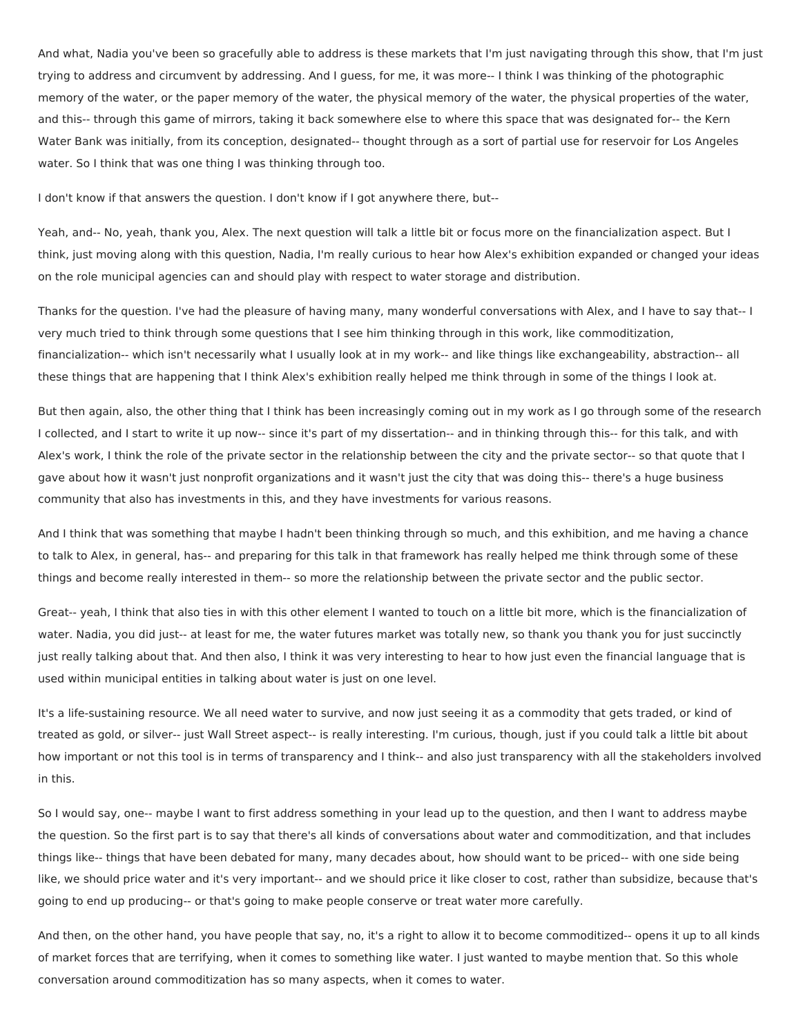And what, Nadia you've been so gracefully able to address is these markets that I'm just navigating through this show, that I'm just trying to address and circumvent by addressing. And I guess, for me, it was more-- I think I was thinking of the photographic memory of the water, or the paper memory of the water, the physical memory of the water, the physical properties of the water, and this-- through this game of mirrors, taking it back somewhere else to where this space that was designated for-- the Kern Water Bank was initially, from its conception, designated-- thought through as a sort of partial use for reservoir for Los Angeles water. So I think that was one thing I was thinking through too.

I don't know if that answers the question. I don't know if I got anywhere there, but--

Yeah, and-- No, yeah, thank you, Alex. The next question will talk a little bit or focus more on the financialization aspect. But I think, just moving along with this question, Nadia, I'm really curious to hear how Alex's exhibition expanded or changed your ideas on the role municipal agencies can and should play with respect to water storage and distribution.

Thanks for the question. I've had the pleasure of having many, many wonderful conversations with Alex, and I have to say that-- I very much tried to think through some questions that I see him thinking through in this work, like commoditization, financialization-- which isn't necessarily what I usually look at in my work-- and like things like exchangeability, abstraction-- all these things that are happening that I think Alex's exhibition really helped me think through in some of the things I look at.

But then again, also, the other thing that I think has been increasingly coming out in my work as I go through some of the research I collected, and I start to write it up now-- since it's part of my dissertation-- and in thinking through this-- for this talk, and with Alex's work, I think the role of the private sector in the relationship between the city and the private sector-- so that quote that I gave about how it wasn't just nonprofit organizations and it wasn't just the city that was doing this-- there's a huge business community that also has investments in this, and they have investments for various reasons.

And I think that was something that maybe I hadn't been thinking through so much, and this exhibition, and me having a chance to talk to Alex, in general, has-- and preparing for this talk in that framework has really helped me think through some of these things and become really interested in them-- so more the relationship between the private sector and the public sector.

Great-- yeah, I think that also ties in with this other element I wanted to touch on a little bit more, which is the financialization of water. Nadia, you did just-- at least for me, the water futures market was totally new, so thank you thank you for just succinctly just really talking about that. And then also, I think it was very interesting to hear to how just even the financial language that is used within municipal entities in talking about water is just on one level.

It's a life-sustaining resource. We all need water to survive, and now just seeing it as a commodity that gets traded, or kind of treated as gold, or silver-- just Wall Street aspect-- is really interesting. I'm curious, though, just if you could talk a little bit about how important or not this tool is in terms of transparency and I think-- and also just transparency with all the stakeholders involved in this.

So I would say, one-- maybe I want to first address something in your lead up to the question, and then I want to address maybe the question. So the first part is to say that there's all kinds of conversations about water and commoditization, and that includes things like-- things that have been debated for many, many decades about, how should want to be priced-- with one side being like, we should price water and it's very important-- and we should price it like closer to cost, rather than subsidize, because that's going to end up producing-- or that's going to make people conserve or treat water more carefully.

And then, on the other hand, you have people that say, no, it's a right to allow it to become commoditized-- opens it up to all kinds of market forces that are terrifying, when it comes to something like water. I just wanted to maybe mention that. So this whole conversation around commoditization has so many aspects, when it comes to water.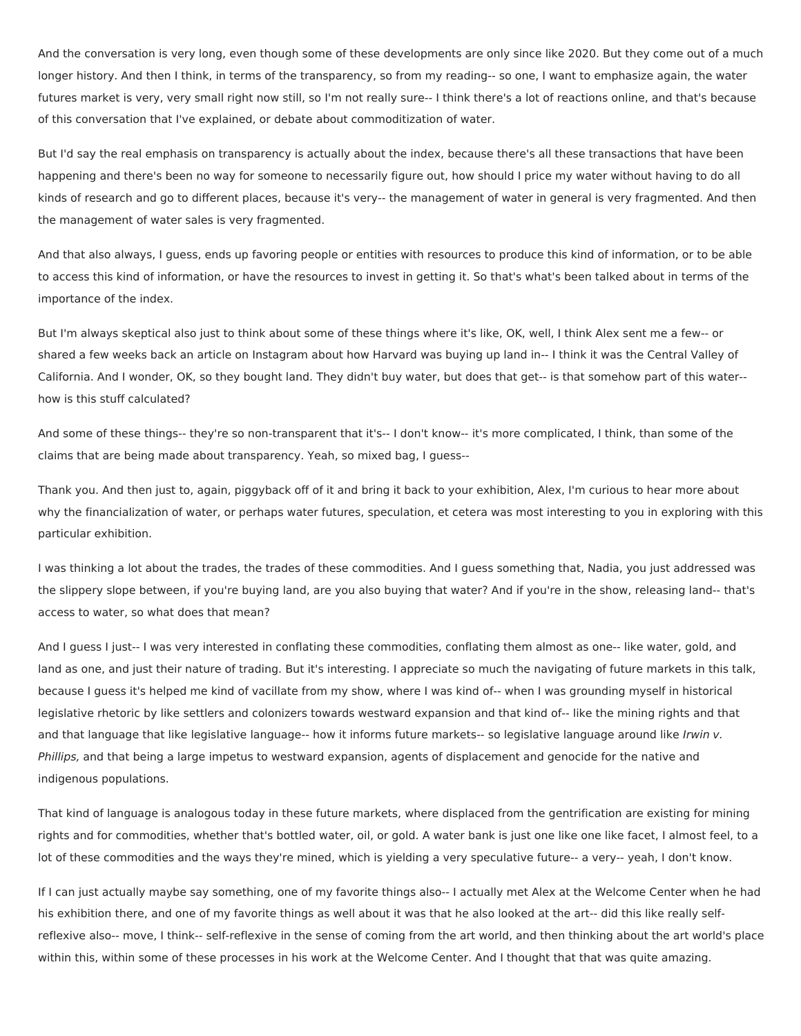And the conversation is very long, even though some of these developments are only since like 2020. But they come out of a much longer history. And then I think, in terms of the transparency, so from my reading-- so one, I want to emphasize again, the water futures market is very, very small right now still, so I'm not really sure-- I think there's a lot of reactions online, and that's because of this conversation that I've explained, or debate about commoditization of water.

But I'd say the real emphasis on transparency is actually about the index, because there's all these transactions that have been happening and there's been no way for someone to necessarily figure out, how should I price my water without having to do all kinds of research and go to different places, because it's very-- the management of water in general is very fragmented. And then the management of water sales is very fragmented.

And that also always, I guess, ends up favoring people or entities with resources to produce this kind of information, or to be able to access this kind of information, or have the resources to invest in getting it. So that's what's been talked about in terms of the importance of the index.

But I'm always skeptical also just to think about some of these things where it's like, OK, well, I think Alex sent me a few-- or shared a few weeks back an article on Instagram about how Harvard was buying up land in-- I think it was the Central Valley of California. And I wonder, OK, so they bought land. They didn't buy water, but does that get-- is that somehow part of this water- how is this stuff calculated?

And some of these things-- they're so non-transparent that it's-- I don't know-- it's more complicated, I think, than some of the claims that are being made about transparency. Yeah, so mixed bag, I guess--

Thank you. And then just to, again, piggyback off of it and bring it back to your exhibition, Alex, I'm curious to hear more about why the financialization of water, or perhaps water futures, speculation, et cetera was most interesting to you in exploring with this particular exhibition.

I was thinking a lot about the trades, the trades of these commodities. And I guess something that, Nadia, you just addressed was the slippery slope between, if you're buying land, are you also buying that water? And if you're in the show, releasing land-- that's access to water, so what does that mean?

And I guess I just-- I was very interested in conflating these commodities, conflating them almost as one-- like water, gold, and land as one, and just their nature of trading. But it's interesting. I appreciate so much the navigating of future markets in this talk, because I guess it's helped me kind of vacillate from my show, where I was kind of-- when I was grounding myself in historical legislative rhetoric by like settlers and colonizers towards westward expansion and that kind of-- like the mining rights and that and that language that like legislative language-- how it informs future markets-- so legislative language around like Irwin v. Phillips, and that being a large impetus to westward expansion, agents of displacement and genocide for the native and indigenous populations.

That kind of language is analogous today in these future markets, where displaced from the gentrification are existing for mining rights and for commodities, whether that's bottled water, oil, or gold. A water bank is just one like one like facet, I almost feel, to a lot of these commodities and the ways they're mined, which is yielding a very speculative future-- a very-- yeah, I don't know.

If I can just actually maybe say something, one of my favorite things also-- I actually met Alex at the Welcome Center when he had his exhibition there, and one of my favorite things as well about it was that he also looked at the art-- did this like really selfreflexive also-- move, I think-- self-reflexive in the sense of coming from the art world, and then thinking about the art world's place within this, within some of these processes in his work at the Welcome Center. And I thought that that was quite amazing.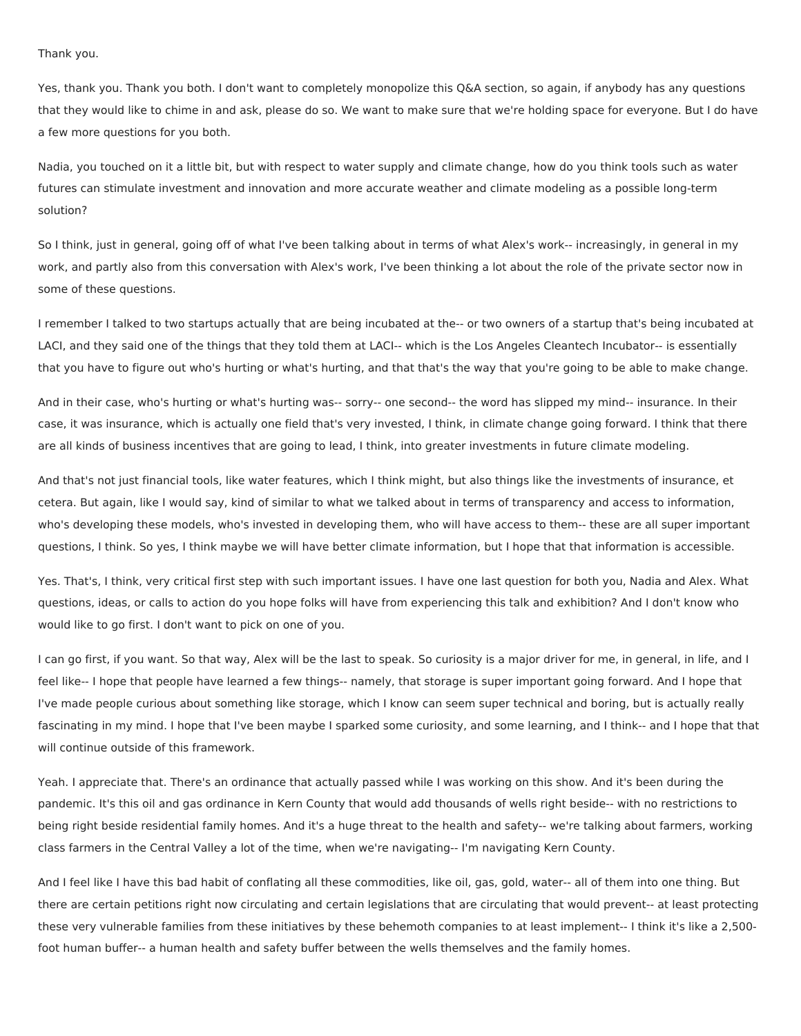Thank you.

Yes, thank you. Thank you both. I don't want to completely monopolize this Q&A section, so again, if anybody has any questions that they would like to chime in and ask, please do so. We want to make sure that we're holding space for everyone. But I do have a few more questions for you both.

Nadia, you touched on it a little bit, but with respect to water supply and climate change, how do you think tools such as water futures can stimulate investment and innovation and more accurate weather and climate modeling as a possible long-term solution?

So I think, just in general, going off of what I've been talking about in terms of what Alex's work-- increasingly, in general in my work, and partly also from this conversation with Alex's work, I've been thinking a lot about the role of the private sector now in some of these questions.

I remember I talked to two startups actually that are being incubated at the-- or two owners of a startup that's being incubated at LACI, and they said one of the things that they told them at LACI-- which is the Los Angeles Cleantech Incubator-- is essentially that you have to figure out who's hurting or what's hurting, and that that's the way that you're going to be able to make change.

And in their case, who's hurting or what's hurting was-- sorry-- one second-- the word has slipped my mind-- insurance. In their case, it was insurance, which is actually one field that's very invested, I think, in climate change going forward. I think that there are all kinds of business incentives that are going to lead, I think, into greater investments in future climate modeling.

And that's not just financial tools, like water features, which I think might, but also things like the investments of insurance, et cetera. But again, like I would say, kind of similar to what we talked about in terms of transparency and access to information, who's developing these models, who's invested in developing them, who will have access to them-- these are all super important questions, I think. So yes, I think maybe we will have better climate information, but I hope that that information is accessible.

Yes. That's, I think, very critical first step with such important issues. I have one last question for both you, Nadia and Alex. What questions, ideas, or calls to action do you hope folks will have from experiencing this talk and exhibition? And I don't know who would like to go first. I don't want to pick on one of you.

I can go first, if you want. So that way, Alex will be the last to speak. So curiosity is a major driver for me, in general, in life, and I feel like-- I hope that people have learned a few things-- namely, that storage is super important going forward. And I hope that I've made people curious about something like storage, which I know can seem super technical and boring, but is actually really fascinating in my mind. I hope that I've been maybe I sparked some curiosity, and some learning, and I think-- and I hope that that will continue outside of this framework.

Yeah. I appreciate that. There's an ordinance that actually passed while I was working on this show. And it's been during the pandemic. It's this oil and gas ordinance in Kern County that would add thousands of wells right beside-- with no restrictions to being right beside residential family homes. And it's a huge threat to the health and safety-- we're talking about farmers, working class farmers in the Central Valley a lot of the time, when we're navigating-- I'm navigating Kern County.

And I feel like I have this bad habit of conflating all these commodities, like oil, gas, gold, water-- all of them into one thing. But there are certain petitions right now circulating and certain legislations that are circulating that would prevent-- at least protecting these very vulnerable families from these initiatives by these behemoth companies to at least implement-- I think it's like a 2,500 foot human buffer-- a human health and safety buffer between the wells themselves and the family homes.